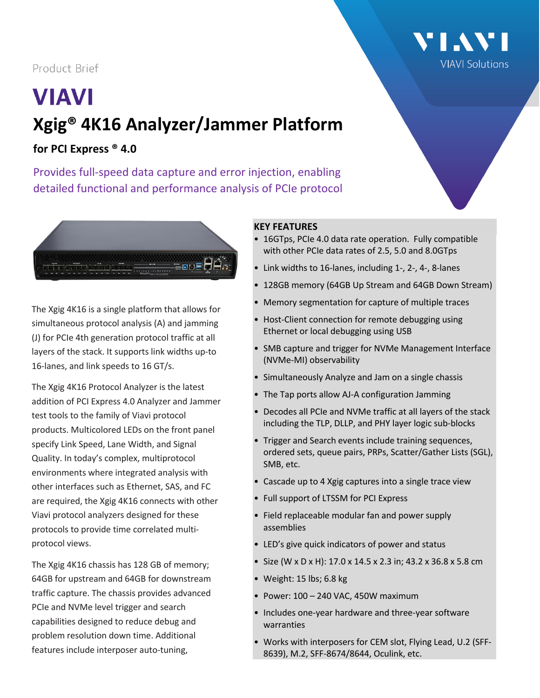## Product Brief

# **VIAVI Xgig® 4K16 Analyzer/Jammer Platform**

## **for PCI Express ® 4.0**

Provides full-speed data capture and error injection, enabling detailed functional and performance analysis of PCIe protocol



The Xgig 4K16 is a single platform that allows for simultaneous protocol analysis (A) and jamming (J) for PCIe 4th generation protocol traffic at all layers of the stack. It supports link widths up-to 16-lanes, and link speeds to 16 GT/s.

The Xgig 4K16 Protocol Analyzer is the latest addition of PCI Express 4.0 Analyzer and Jammer test tools to the family of Viavi protocol products. Multicolored LEDs on the front panel specify Link Speed, Lane Width, and Signal Quality. In today's complex, multiprotocol environments where integrated analysis with other interfaces such as Ethernet, SAS, and FC are required, the Xgig 4K16 connects with other Viavi protocol analyzers designed for these protocols to provide time correlated multiprotocol views.

The Xgig 4K16 chassis has 128 GB of memory; 64GB for upstream and 64GB for downstream traffic capture. The chassis provides advanced PCIe and NVMe level trigger and search capabilities designed to reduce debug and problem resolution down time. Additional features include interposer auto-tuning,

#### **KEY FEATURES**

• 16GTps, PCIe 4.0 data rate operation. Fully compatible with other PCIe data rates of 2.5, 5.0 and 8.0GTps

**TIAN** 

**VIAVI Solutions** 

- Link widths to 16-lanes, including 1-, 2-, 4-, 8-lanes
- 128GB memory (64GB Up Stream and 64GB Down Stream)
- Memory segmentation for capture of multiple traces
- Host-Client connection for remote debugging using Ethernet or local debugging using USB
- SMB capture and trigger for NVMe Management Interface (NVMe-MI) observability
- Simultaneously Analyze and Jam on a single chassis
- The Tap ports allow AJ-A configuration Jamming
- Decodes all PCIe and NVMe traffic at all layers of the stack including the TLP, DLLP, and PHY layer logic sub-blocks
- Trigger and Search events include training sequences, ordered sets, queue pairs, PRPs, Scatter/Gather Lists (SGL), SMB, etc.
- Cascade up to 4 Xgig captures into a single trace view
- Full support of LTSSM for PCI Express
- Field replaceable modular fan and power supply assemblies
- LED's give quick indicators of power and status
- Size (W x D x H): 17.0 x 14.5 x 2.3 in; 43.2 x 36.8 x 5.8 cm
- Weight: 15 lbs; 6.8 kg
- $\bullet$  Power: 100 240 VAC, 450W maximum
- Includes one-year hardware and three-year software warranties
- Works with interposers for CEM slot, Flying Lead, U.2 (SFF-8639), M.2, SFF-8674/8644, Oculink, etc.